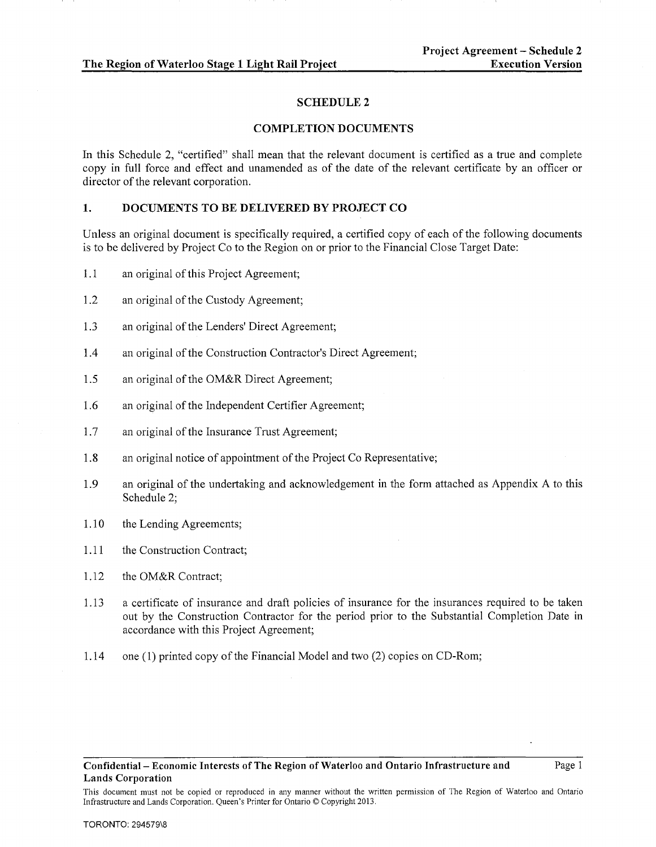## SCHEDULE2

#### COMPLETION DOCUMENTS

In this Schedule 2, "certified" shall mean that the relevant document is certified as a true and complete copy in full force and effect and unamended as of the date of the relevant certificate by an officer or director of the relevant corporation.

# 1. DOCUMENTS TO BE DELIVERED BY PROJECT CO

Unless an original document is specifically required, a certified copy of each of the following documents is to be delivered by Project Co to the Region on or prior to the Financial Close Target Date:

- 1.1 an original of this Project Agreement;
- 1.2 an original of the Custody Agreement;
- 1.3 an original of the Lenders' Direct Agreement;
- 1.4 an original of the Construction Contractor's Direct Agreement;
- 1.5 an original of the OM&R Direct Agreement;
- 1.6 an original of the Independent Certifier Agreement;
- 1.7 an original of the Insurance Trust Agreement;
- 1.8 an original notice of appointment of the Project Co Representative;
- 1.9 an original of the undertaking and acknowledgement in the form attached as Appendix A to this Schedule 2;
- 1.10 the Lending Agreements;
- 1.11 the Construction Contract;
- 1.12 the OM&R Contract;
- 1.13 a certificate of insurance and draft policies of insurance for the insurances required to be taken out by the Construction Contractor for the period prior to the Substantial Completion Date in accordance with this Project Agreement;
- 1.14 one (1) printed copy of the Financial Model and two (2) copies on CD-Rom;

Confidential- Economic Interests of The Region of Waterloo and Ontario Infrastructure and Lands Corporation

Page 1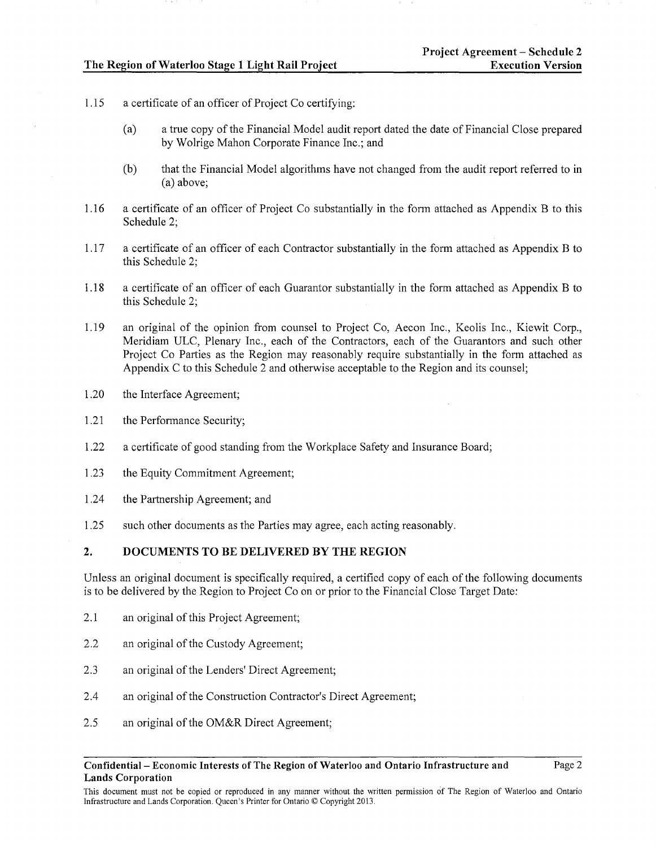- 1.15 a certificate of an officer of Project Co certifying:
	- (a) a true copy of the Financial Model audit report dated the date of Financial Close prepared by Wolrige Mahon Corporate Finance Inc.; and
	- (b) that the Financial Model algorithms have not changed from the audit report referred to in (a) above;
- 1.16 a certificate of an officer of Project Co substantially in the form attached as Appendix B to this Schedule 2;
- 1.17 a certificate of an officer of each Contractor substantially in the form attached as Appendix B to this Schedule 2;
- 1.18 a certificate of an officer of each Guarantor substantially in the form attached as Appendix B to this Schedule 2;
- 1.19 an original of the opinion from counsel to Project Co, Aecon Inc., Keolis Inc., Kiewit Corp., Meridiam ULC, Plenary Inc., each of the Contractors, each of the Guarantors and such other Project Co Patties as the Region may reasonably require substantially in the form attached as Appendix C to this Schedule 2 and otherwise acceptable to the Region and its counsel;
- 1.20 the Interface Agreement;
- 1.21 the Performance Security;
- 1.22 a certificate of good standing from the Workplace Safety and Insurance Board;
- 1.23 the Equity Commitment Agreement;
- 1.24 the Partnership Agreement; and
- 1.25 such other documents as the Parties may agree, each acting reasonably.

# **2. DOCUMENTS TO BE DELIVERED BY THE REGION**

Unless an original document is specifically required, a certified copy of each of the following documents is to be delivered by the Region to Project Co on or prior to the Financial Close Target Date:

- 2.1 an original of this Project Agreement;
- 2.2 an original of the Custody Agreement;
- 2.3 an original of the Lenders' Direct Agreement;
- 2.4 an original of the Construction Contractor's Direct Agreement;
- 2.5 an original of the OM&R Direct Agreement;

#### **Confidential- Economic Interests of The Region of Waterloo and Ontario Infrastructure and Lands Corporation**

This document must not be copied or reproduced in any manner without the written permission of The Region of Waterloo and Ontario Infrastructure and Lands Corporation. Queen's Printer for Ontario© Copyright 2013.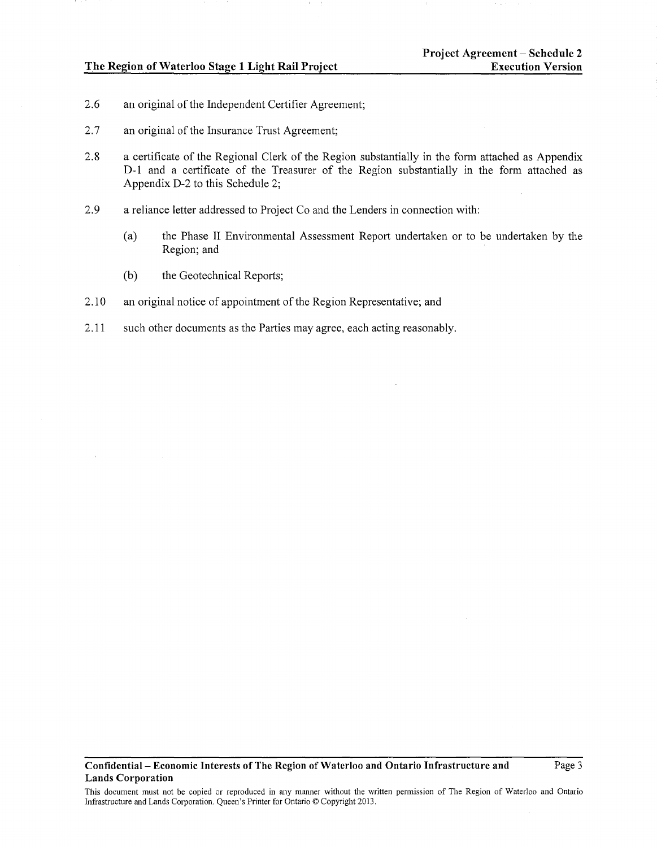- 2.6 an original of the Independent Certifier Agreement;
- 2.7 an original of the Insurance Trust Agreement;
- 2.8 a certificate of the Regional Clerk of the Region substantially in the form attached as Appendix D-1 and a certificate of the Treasurer of the Region substantially in the form attached as Appendix D-2 to this Schedule 2;
- 2.9 a reliance letter addressed to Project Co and the Lenders in connection with:
	- (a) the Phase II Environmental Assessment Report undertaken or to be undertaken by the Region; and
	- (b) the Geotechnical Reports;
- 2.10 an original notice of appointment of the Region Representative; and
- 2.11 such other documents as the Parties may agree, each acting reasonably.

This document must not be copied or reproduced in any manner without the written permission of The Region of Waterloo and Ontario Infrastructure and Lands Corporation. Queen's Printer for Ontario© Copyright 2013.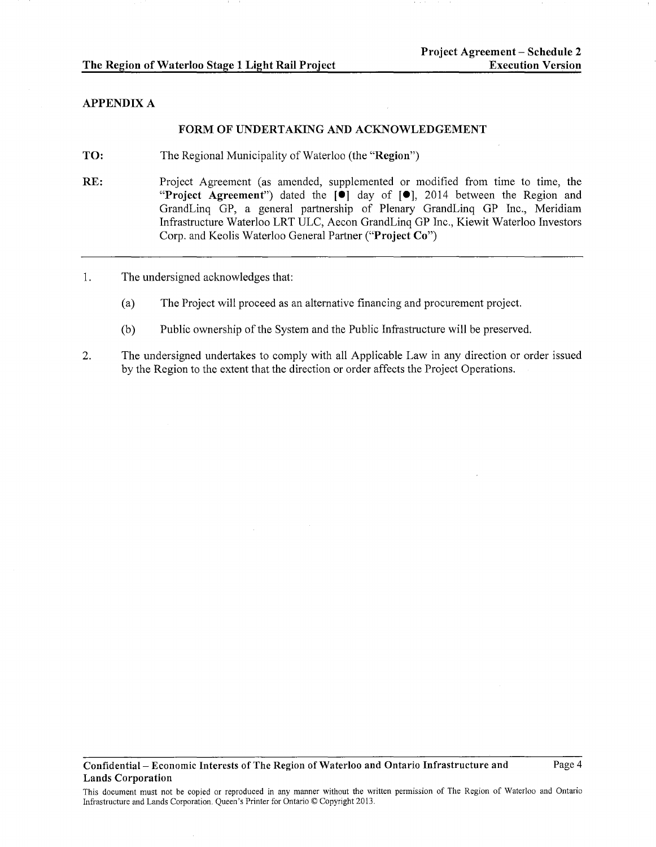## APPENDIX A

## FORM OF UNDERTAKING AND ACKNOWLEDGEMENT

- TO: The Regional Municipality of Waterloo (the "Region")
- RE: Project Agreement (as amended, supplemented or modified from time to time, the "Project Agreement") dated the [<sup>o</sup>] day of [<sup>o</sup>], 2014 between the Region and GrandLinq GP, a general partnership of Plenary GrandLinq GP Inc., Meridiam Infrastructure Waterloo LRT ULC, Aecon GrandLinq GP Inc., Kiewit Waterloo Investors Corp. and Keolis Waterloo General Partner ("Project Co")
- 1. The undersigned acknowledges that:
	- (a) The Project will proceed as an alternative financing and procurement project.
	- (b) Public ownership of the System and the Public Infrastructure will be preserved.
- 2. The undersigned undertakes to comply with all Applicable Law in any direction or order issued by the Region to the extent that the direction or order affects the Project Operations.

This document must not be copied or reproduced in any manner without the written permission of The Region of Waterloo and Ontario Infrastructure and Lands Corporation. Queen's Printer for Ontario© Copyright 2013.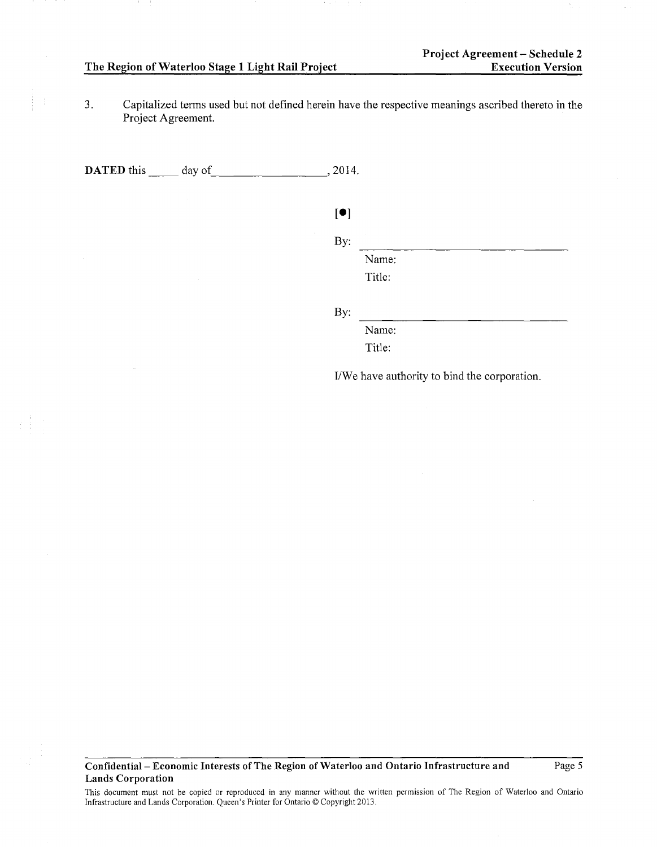$\frac{1}{4}$ 

3. Capitalized terms used but not defmed herein have the respective meanings ascribed thereto **in** the Project Agreement.

**DATED** this day of , 2014.

| [•] |        |  |
|-----|--------|--|
| By: |        |  |
|     | Name:  |  |
|     | Title: |  |
|     |        |  |

By:

Name: Title:

I/We have authority to bind the corporation.

## **Confidential- Economic Interests of The Region of Waterloo and Ontario Infrastructure and Lands Corporation**

Page 5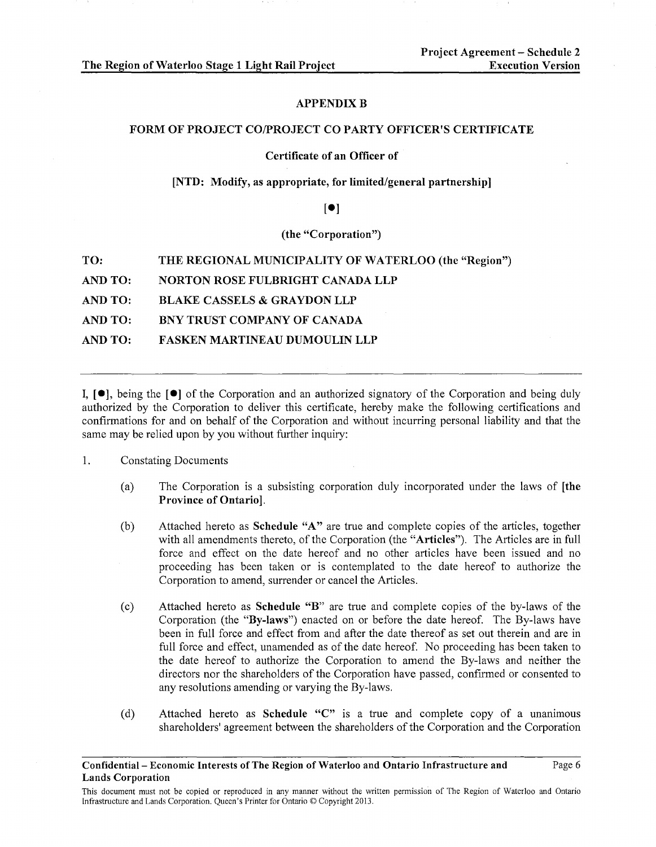## **APPENDIX B**

#### FORM OF PROJECT CO/PROJECT CO PARTY OFFICER'S CERTIFICATE

## Certificate of an Officer of

## [NTD: Modify, as appropriate, for limited/general partnership]

# $\lceil \bullet \rceil$

# (the "Corporation")

| TO:     | THE REGIONAL MUNICIPALITY OF WATERLOO (the "Region") |
|---------|------------------------------------------------------|
| AND TO: | <b>NORTON ROSE FULBRIGHT CANADA LLP</b>              |
| AND TO: | <b>BLAKE CASSELS &amp; GRAYDON LLP</b>               |
| AND TO: | BNY TRUST COMPANY OF CANADA                          |
| AND TO: | <b>FASKEN MARTINEAU DUMOULIN LLP</b>                 |
|         |                                                      |

I,  $\lceil \bullet \rceil$ , being the  $\lceil \bullet \rceil$  of the Corporation and an authorized signatory of the Corporation and being duly authorized by the Corporation to deliver this certificate, hereby make the following certifications and confirmations for and on behalf of the Corporation and without incurring personal liability and that the same may be relied upon by you without further inquiry:

- 1. Constating Documents
	- (a) The Corporation is a subsisting corporation duly incorporated under the laws of [the Province of Ontario].
	- (b) Attached hereto as Schedule "A" are true and complete copies of the articles, together with all amendments thereto, of the Corporation (the "Articles"). The Articles are in full force and effect on the date hereof and no other articles have been issued and no proceeding has been taken or is contemplated to the date hereof to authorize the Corporation to amend, surrender or cancel the Articles.
	- (c) Attached hereto as Schedule "B" are true and complete copies of the by-laws of the Corporation (the "By-laws") enacted on or before the date hereof. The By-laws have been in full force and effect from and after the date thereof as set out therein and are in full force and effect, unamended as of the date hereof. No proceeding has been taken to the date hereof to authorize the Corporation to amend the By-laws and neither the directors nor the shareholders of the Corporation have passed, confirmed or consented to any resolutions amending or varying the By-laws.
	- (d) Attached hereto as Schedule "C" is a true and complete copy of a unanimous shareholders' agreement between the shareholders of the Corporation and the Corporation

Confidential- Economic Interests of The Region of Waterloo and Ontario Infrastructure and Lands Corporation

This document must not be copied or reproduced in any manner without the written permission of The Region of Waterloo and Ontario Infrastructure and Lands Corporation. Queen's Printer for Ontario© Copyright 2013.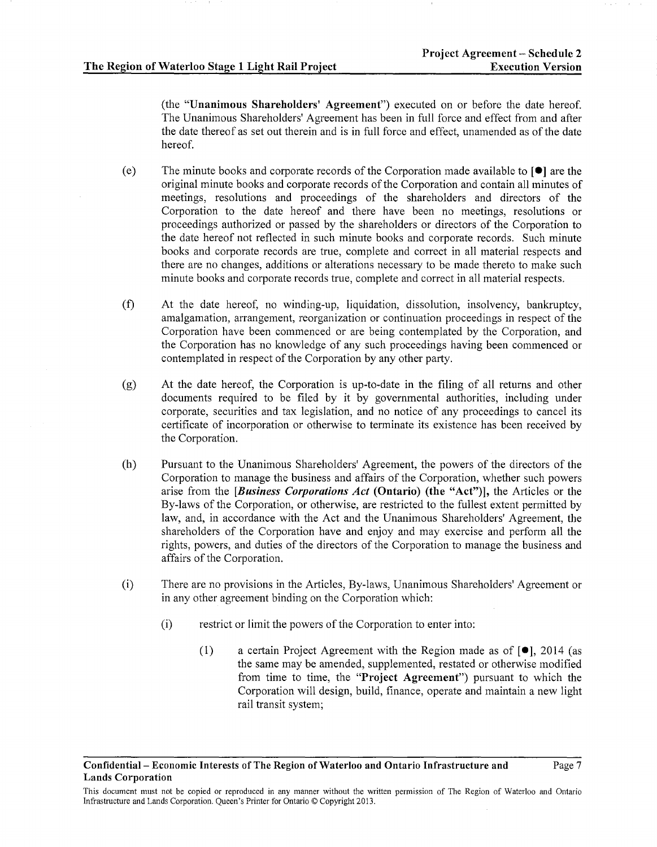(the "Unanimous Shareholders' Agreement") executed on or before the date hereof. The Unanimous Shareholders' Agreement has been in full force and effect from and after the date thereof as set out therein and is in full force and effect, unamended as of the date hereof.

- (e) The minute books and corporate records of the Corporation made available to  $\lceil \bullet \rceil$  are the original minute books and corporate records of the Corporation and contain all minutes of meetings, resolutions and proceedings of the shareholders and directors of the Corporation to the date hereof and there have been no meetings, resolutions or proceedings authorized or passed by the shareholders or directors of the Corporation to the date hereof not reflected in such minute books and corporate records. Such minute books and corporate records are true, complete and correct in all material respects and there are no changes, additions or alterations necessary to be made thereto to make such minute books and corporate records true, complete and correct in all material respects.
- (f) At the date hereof, no winding-up, liquidation, dissolution, insolvency, bankruptcy, amalgamation, arrangement, reorganization or continuation proceedings in respect of the Corporation have been commenced or are being contemplated by the Corporation, and the Corporation has no knowledge of any such proceedings having been commenced or contemplated in respect of the Corporation by any other party.
- (g) At the date hereof, the Corporation is up-to-date in the filing of all returns and other documents required to be filed by it by governmental authorities, including under corporate, securities and tax legislation, and no notice of any proceedings to cancel its certificate of incorporation or otherwise to terminate its existence has been received by the Corporation.
- (h) Pursuant to the Unanimous Shareholders' Agreement, the powers of the directors of the Corporation to manage the business and affairs of the Corporation, whether such powers arise from the *[Business Corporations Act* (Ontario) (the "Act")], the Articles or the By-laws of the Corporation, or otherwise, are restricted to the fullest extent permitted by law, and, in accordance with the Act and the Unanimous Shareholders' Agreement, the shareholders of the Corporation have and enjoy and may exercise and perform all the rights, powers, and duties of the directors of the Corporation to manage the business and affairs of the Corporation.
- (i) There are no provisions in the Articles, By-laws, Unanimous Shareholders' Agreement or in any other agreement binding on the Corporation which:
	- (i) restrict or limit the powers of the Corporation to enter into:
		- (1) a certain Project Agreement with the Region made as of [•], 2014 (as the same may be amended, supplemented, restated or otherwise modified from time to time, the "Project Agreement") pursuant to which the Corporation will design, build, finance, operate and maintain a new light rail transit system;

This document must not be copied or reproduced in any manner without the written permission of The Region of Waterloo and Ontario Infrastructure and Lands Corporation. Queen's Printer for Ontario© Copyright 2013.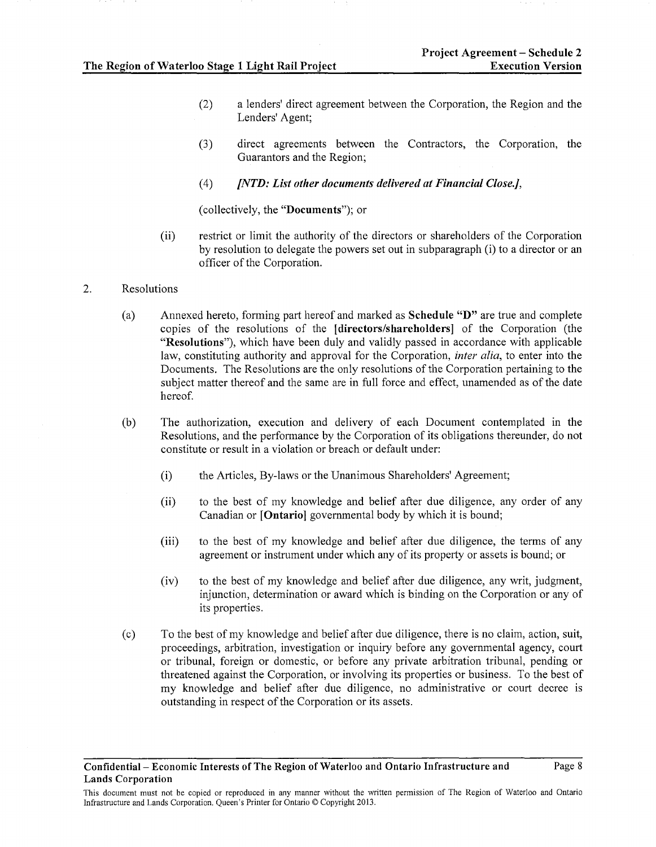- (2) a lenders' direct agreement between the Corporation, the Region and the Lenders' Agent;
- (3) direct agreements between the Contractors, the Corporation, the Guarantors and the Region;
- (4) *[NTD: List other documents delivered at Financial Close.],*

(collectively, the **"Documents");** or

- (ii) restrict or limit the authority of the directors or shareholders of the Corporation by resolution to delegate the powers set out in subparagraph (i) to a director or an officer of the Corporation.
- 2. Resolutions
	- (a) Annexed hereto, forming part hereof and marked as **Schedule "D"** are true and complete copies of the resolutions of the **[directors/shareholders]** of the Corporation (the **"Resolutions"),** which have been duly and validly passed in accordance with applicable law, constituting authority and approval for the Corporation, *inter alia,* to enter into the Documents. The Resolutions are the only resolutions of the Corporation pertaining to the subject matter thereof and the same are in full force and effect, unamended as of the date hereof.
	- (b) The authorization, execution and delivery of each Document contemplated in the Resolutions, and the performance by the Corporation of its obligations thereunder, do not constitute or result in a violation or breach or default under:
		- **(i)** the Articles, By-laws or the Unanimous Shareholders' Agreement;
		- (ii) to the best of my knowledge and belief after due diligence, any order of any Canadian or **[Ontario]** governmental body by which it is bound;
		- (iii) to the best of my knowledge and belief after due diligence, the terms of any agreement or instrument under which any of its property or assets is bound; or
		- (iv) to the best of my knowledge and belief after due diligence, any writ, judgment, injunction, determination or award which is binding on the Corporation or any of its properties.
	- (c) To the best of my knowledge and belief after due diligence, there is no claim, action, suit, proceedings, arbitration, investigation or inquiry before any governmental agency, court or tribunal, foreign or domestic, or before any private arbitration tribunal, pending or threatened against the Corporation, or involving its properties or business. To the best of my knowledge and belief after due diligence, no administrative or court decree is outstanding in respect of the Corporation or its assets.

This document must not be copied or reproduced in any manner without the written permission of The Region of Waterloo and Ontario Infrastructure and Lands Corporation. Queen's Printer for Ontario© Copyright 2013.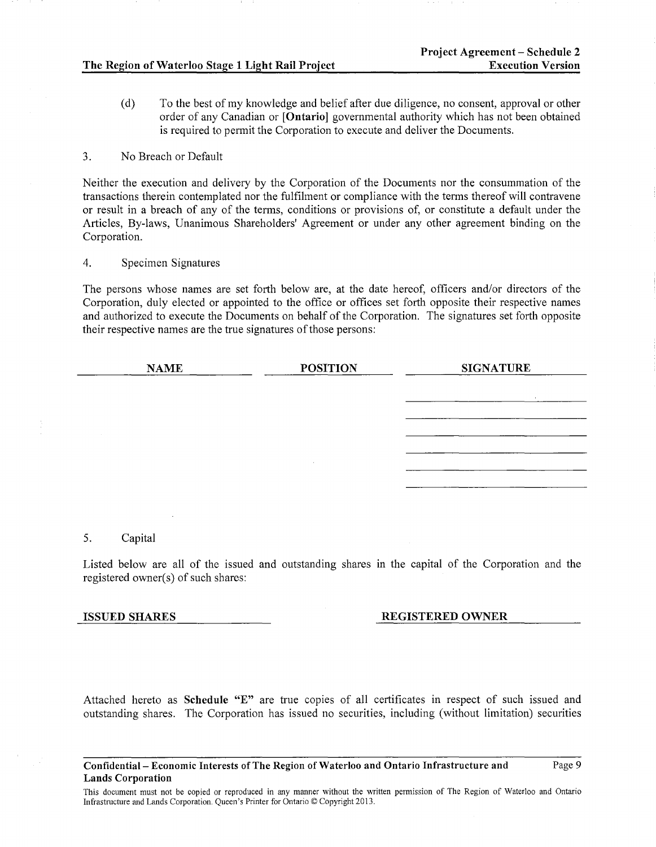(d) To the best of my knowledge and belief after due diligence, no consent, approval or other order of any Canadian or [Ontario] governmental authority which has not been obtained is required to permit the Corporation to execute and deliver the Documents.

## 3. No Breach or Default

Neither the execution and delivery by the Corporation of the Documents nor the consummation of the transactions therein contemplated nor the fulfilment or compliance with the terms thereof will contravene or result in a breach of any of the terms, conditions or provisions of, or constitute a default under the Articles, By-laws, Unanimous Shareholders' Agreement or under any other agreement binding on the Corporation.

## 4. Specimen Signatures

The persons whose names are set forth below are, at the date hereof, officers and/or directors of the Corporation, duly elected or appointed to the office or offices set forth opposite their respective names and authorized to execute the Documents on behalf of the Corporation. The signatures set forth opposite their respective names are the true signatures of those persons:

| <b>NAME</b> | <b>POSITION</b> | <b>SIGNATURE</b> |
|-------------|-----------------|------------------|
|             |                 | <b>College</b>   |
|             |                 |                  |
|             |                 |                  |
|             |                 |                  |
|             |                 |                  |
|             |                 |                  |

## 5. Capital

Listed below are all of the issued and outstanding shares in the capital of the Corporation and the registered owner(s) of such shares:

## ISSUED SHARES REGISTERED OWNER

Attached hereto as Schedule "E" are true copies of all certificates in respect of such issued and outstanding shares. The Corporation has issued no securities, including (without limitation) securities

#### Confidential- Economic Interests of The Region of Waterloo and Ontario Infrastructure and Lands Corporation

Page 9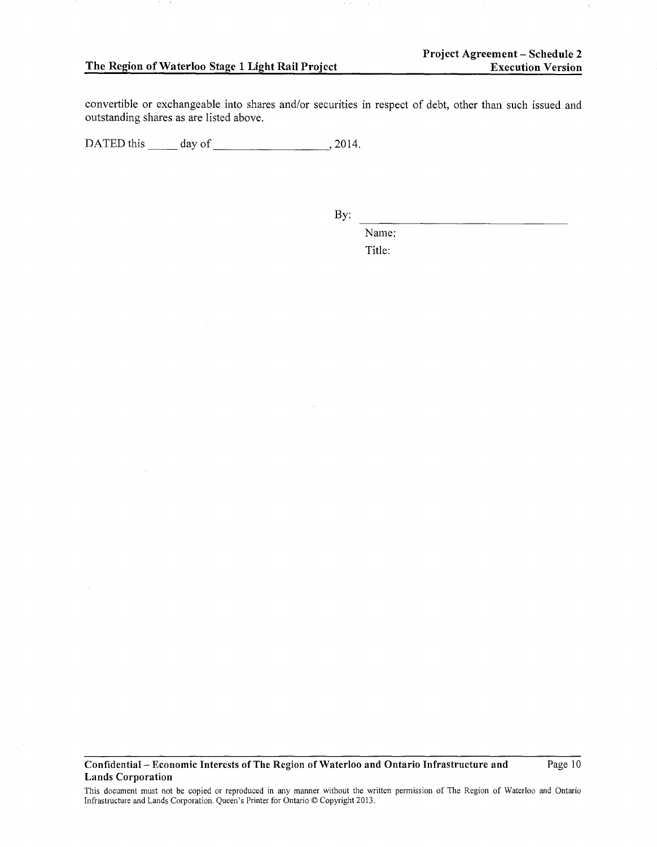convertible or exchangeable into shares and/or securities in respect of debt, other than such issued and outstanding shares as are listed above.

DATED this \_\_\_\_\_ day of \_\_\_\_\_\_\_\_\_\_\_\_\_\_\_\_\_\_\_\_\_, 2014.

By:

Name: Title:

**Confidential- Economic Interests of The Region of Waterloo and Ontario Infrastructure and Lands Corporation** 

Page 10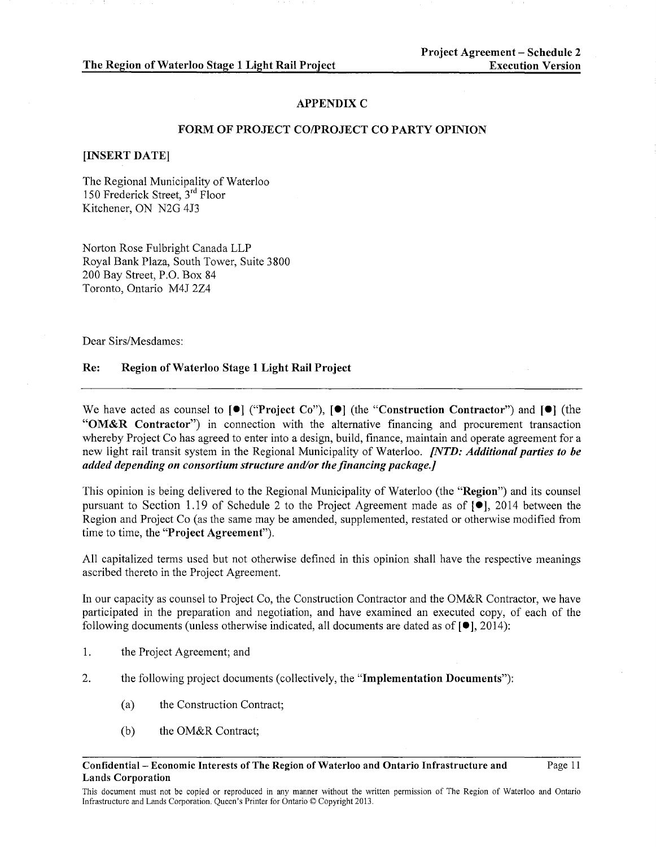#### **APPENDIX C**

#### FORM OF PROJECT CO/PROJECT CO PARTY OPINION

#### [INSERT DATE]

The Regional Municipality of Waterloo 150 Frederick Street, 3rd Floor Kitchener, ON N2G 4J3

Norton Rose Fulbright Canada LLP Royal Bank Plaza, South Tower, Suite 3800 200 Bay Street, P.O. Box 84 Toronto, Ontario M4J 2Z4

Dear Sirs/Mesdames:

## Re: Region of Waterloo Stage 1 Light Rail Project

We have acted as counsel to  $[\bullet]$  ("Project Co"),  $[\bullet]$  (the "Construction Contractor") and  $[\bullet]$  (the "OM&R Contractor") in connection with the alternative financing and procurement transaction whereby Project Co has agreed to enter into a design, build, finance, maintain and operate agreement for a new light rail transit system in the Regional Municipality of Waterloo. *[NTD: Additional parties to he added depending on consortium structure and/or the financing package.]* 

This opinion is being delivered to the Regional Municipality of Waterloo (the "Region") and its counsel pursuant to Section 1.19 of Schedule 2 to the Project Agreement made as of [•], 2014 between the Region and Project Co (as the same may be amended, supplemented, restated or otherwise modified from time to time, the "Project Agreement").

All capitalized terms used but not otherwise defined in this opinion shall have the respective meanings ascribed thereto in the Project Agreement.

In our capacity as counsel to Project Co, the Construction Contractor and the OM&R Contractor, we have participated in the preparation and negotiation, and have examined an executed copy, of each of the following documents (unless otherwise indicated, all documents are dated as of  $[•]$ , 2014):

- 1. the Project Agreement; and
- 2. the following project documents (collectively, the "Implementation Documents"):
	- (a) the Construction Contract;
	- (b) the OM&R Contract;

Confidential- Economic Interests of The Region of Waterloo and Ontario Infrastructure and Lands Corporation

This document must not be copied or reproduced in any manner without the written permission of The Region of Waterloo and Ontario Infrastructure and Lands Corporation. Queen's Printer for Ontario© Copyright 2013.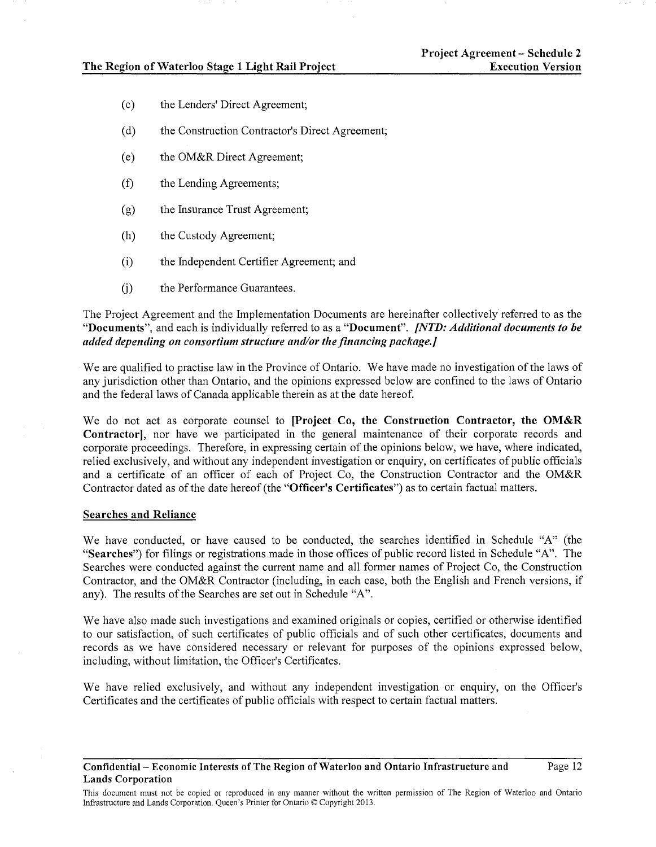- (c) the Lenders' Direct Agreement;
- (d) the Construction Contractor's Direct Agreement;
- (e) the OM&R Direct Agreement;
- (f) the Lending Agreements;
- (g) the Insurance Trust Agreement;
- (h) the Custody Agreement;
- (i) the Independent Certifier Agreement; and
- (j) the Performance Guarantees.

The Project Agreement and the Implementation Documents are hereinafter collectively referred to as the "Documents", and each is individually referred to as a "Document". *[NTD: Additional documents to be added depending on consortium structure and/or the financing package.]* 

We are qualified to practise law in the Province of Ontario. We have made no investigation of the laws of any jurisdiction other than Ontario, and the opinions expressed below are confined to the laws of Ontario and the federal laws of Canada applicable therein as at the date hereof.

We do not act as corporate counsel to [Project Co, the Construction Contractor, the OM&R Contractor], nor have we participated in the general maintenance of their corporate records and corporate proceedings. Therefore, in expressing certain of the opinions below, we have, where indicated, relied exclusively, and without any independent investigation or enquiry, on certificates of public officials and a certificate of an officer of each of Project Co, the Construction Contractor and the OM&R Contractor dated as of the date hereof (the "Officer's Certificates") as to certain factual matters.

#### Searches and Reliance

We have conducted, or have caused to be conducted, the searches identified in Schedule "A" (the "Searches") for filings or registrations made in those offices of public record listed in Schedule "A". The Searches were conducted against the current name and all former names of Project Co, the Construction Contractor, and the OM&R Contractor (including, in each case, both the English and French versions, if any). The results of the Searches are set out in Schedule "A".

We have also made such investigations and examined originals or copies, certified or otherwise identified to our satisfaction, of such certificates of public officials and of such other certificates, documents and records as we have considered necessary or relevant for purposes of the opinions expressed below, including, without limitation, the Officer's Certificates.

We have relied exclusively, and without any independent investigation or enquiry, on the Officer's Certificates and the certificates of public officials with respect to certain factual matters.

Confidential- Economic Interests of The Region of Waterloo and Ontario Infrastructure and Lands Corporation

This document must not be copied or reproduced in any manner without the written permission of The Region of Waterloo and Ontario Infrastructure and Lands Corporation. Queen's Printer for Ontario© Copyright 2013.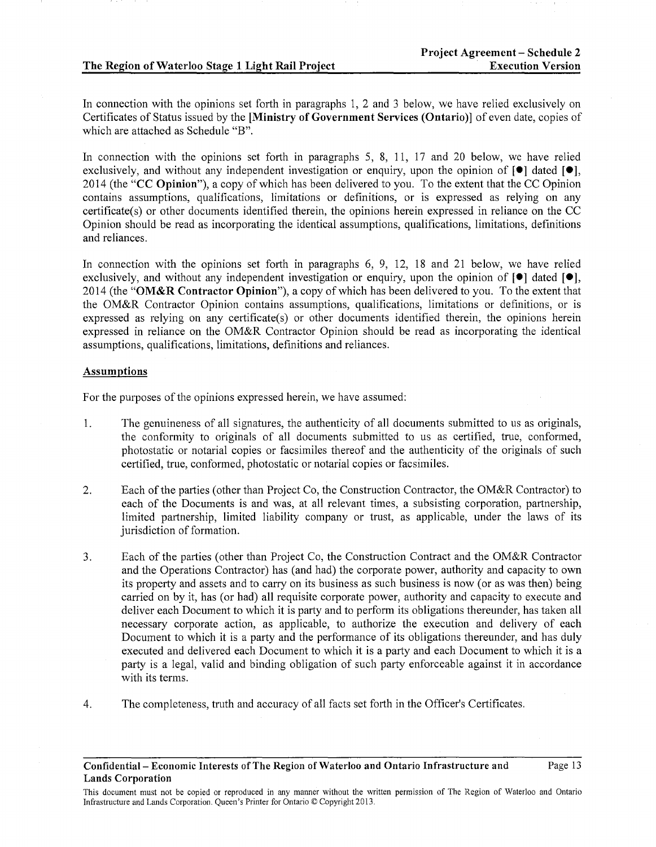In connection with the opinions set forth in paragraphs 1, 2 and 3 below, we have relied exclusively on Certificates of Status issued by the [Ministry of Government Services (Ontario)] of even date, copies of which are attached as Schedule "B".

In connection with the opinions set forth in paragraphs 5, 8, 11, 17 and 20 below, we have relied exclusively, and without any independent investigation or enquiry, upon the opinion of  $[\bullet]$  dated  $[\bullet]$ , 2014 (the "CC Opinion"), a copy of which has been delivered to you. To the extent that the CC Opinion contains assumptions, qualifications, limitations or definitions, or is expressed as relying on any certificate(s) or other documents identified therein, the opinions herein expressed in reliance on the CC Opinion should be read as incorporating the identical assumptions, qualifications, limitations, defmitions and reliances.

In connection with the opinions set forth in paragraphs  $6, 9, 12, 18$  and  $21$  below, we have relied exclusively, and without any independent investigation or enquiry, upon the opinion of  $[\bullet]$  dated  $[\bullet]$ , 2014 (the "OM&R Contractor Opinion"), a copy of which has been delivered to you. To the extent that the OM&R Contractor Opinion contains assumptions, qualifications, limitations or definitions, or is expressed as relying on any certificate(s) or other documents identified therein, the opinions herein expressed in reliance on the OM&R Contractor Opinion should be read as incorporating the identical assumptions, qualifications, limitations, definitions and reliances.

## Assumptions

For the purposes of the opinions expressed herein, we have assumed:

- 1. The genuineness of all signatures, the authenticity of all documents submitted to us as originals, the conformity to originals of all documents submitted to us as certified, true, conformed, photostatic or notarial copies or facsimiles thereof and the authenticity of the originals of such certified, true, conformed, photostatic or notarial copies or facsimiles.
- 2. Each of the parties (other than Project Co, the Construction Contractor, the OM&R Contractor) to each of the Documents is and was, at all relevant times, a subsisting corporation, partnership, limited partnership, limited liability company or trust, as applicable, under the laws of its jurisdiction of formation.
- 3. Each of the parties (other than Project Co, the Construction Contract and the OM&R Contractor and the Operations Contractor) has (and had) the corporate power, authority and capacity to own its property and assets and to carry on its business as such business is now (or as was then) being carried on by it, has (or had) all requisite corporate power, authority and capacity to execute and deliver each Document to which it is party and to perform its obligations thereunder, has taken all necessary corporate action, as applicable, to authorize the execution and delivery of each Document to which it is a party and the performance of its obligations thereunder, and has duly executed and delivered each Document to which it is a party and each Document to which it is a party is a legal, valid and binding obligation of such party enforceable against it in accordance with its terms.
- 4. The completeness, truth and accuracy of all facts set forth in the Officer's Certificates.

#### Confidential- Economic Interests of The Region of Waterloo and Ontario Infrastructure and Lands Corporation

This document must not be copied or reproduced in any manner without the written permission of The Region of Waterloo and Ontario Infrastructure and Lands Corporation. Queen's Printer for Ontario © Copyright 2013.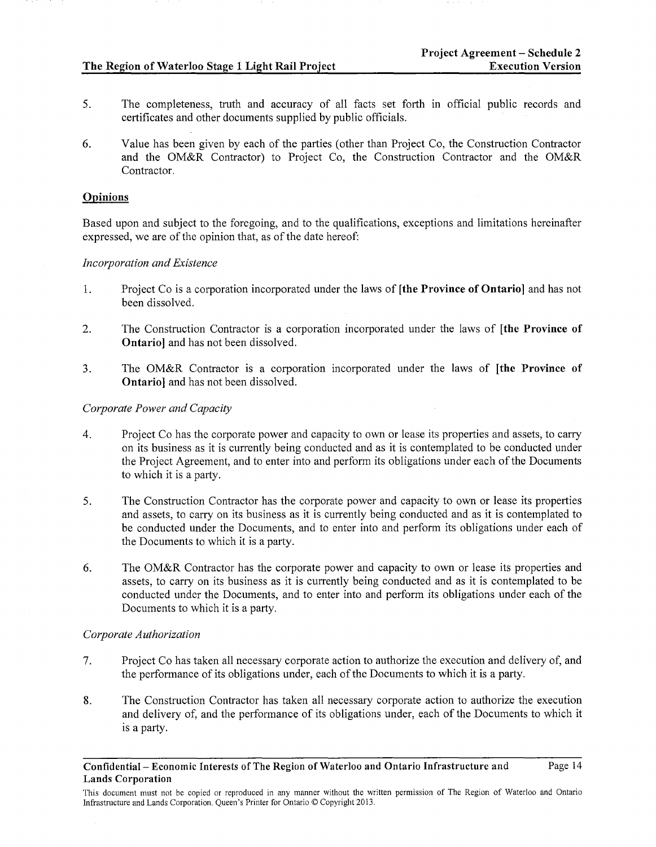- 5. The completeness, truth and accuracy of all facts set forth m official public records and certificates and other documents supplied by public officials.
- 6. Value has been given by each of the parties (other than Project Co, the Construction Contractor and the OM&R Contractor) to Project Co, the Construction Contractor and the OM&R Contractor.

## Opinions

Based upon and subject to the foregoing, and to the qualifications, exceptions and limitations hereinafter expressed, we are of the opinion that, as of the date hereof:

# *Incorporation and Existence*

- 1. Project Co is a corporation incorporated under the laws of [the Province of Ontario] and has not been dissolved.
- 2. The Construction Contractor is a corporation incorporated under the laws of [the Province of Ontario] and has not been dissolved.
- 3. The OM&R Contractor is a corporation incorporated under the laws of [the Province of Ontario] and has not been dissolved.

# *Corporate Power and Capacity*

- 4. Project Co has the corporate power and capacity to own or lease its properties and assets, to carry on its business as it is currently being conducted and as it is contemplated to be conducted under the Project Agreement, and to enter into and perform its obligations under each of the Documents to which it is a party.
- 5. The Construction Contractor has the corporate power and capacity to own or lease its properties and assets, to carry on its business as it is currently being conducted and as it is contemplated to be conducted under the Documents, and to enter into and perform its obligations under each of the Documents to which it is a party.
- 6. The OM&R Contractor has the corporate power and capacity to own or lease its properties and assets, to carry on its business as it is currently being conducted and as it is contemplated to be conducted under the Documents, and to enter into and perform its obligations under each of the Documents to which it is a party.

## *Corporate Authorization*

- 7. Project Co has taken all necessary corporate action to authorize the execution and delivery of, and the performance of its obligations under, each of the Documents to which it is a party.
- 8. The Construction Contractor has taken all necessary corporate action to authorize the execution and delivery of, and the performance of its obligations under, each of the Documents to which it is a party.

Confidential- Economic Interests of The Region of Waterloo and Ontario Infrastructure and Lands Corporation

This document must not be copied or reproduced in any manner without the written permission of The Region of Waterloo and Ontario Infrastructure and Lands Corporation. Queen's Printer for Ontario© Copyright 2013.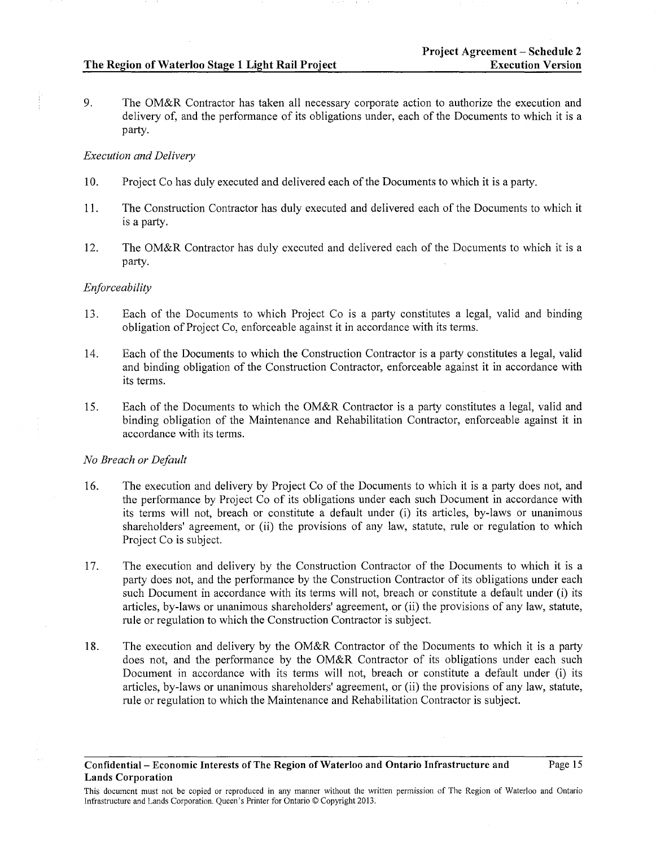9. The OM&R Contractor has taken all necessary corporate action to authorize the execution and delivery of, and the performance of its obligations under, each of the Documents to which it is a party.

# *Execution and Delivery*

- 1 0. Project Co has duly executed and delivered each of the Documents to which it is a party.
- 11. The Construction Contractor has duly executed and delivered each of the Documents to which it is a party.
- 12. The OM&R Contractor has duly executed and delivered each of the Documents to which it is a party.

# *Enforceability*

- 13. Each of the Documents to which Project Co is a party constitutes a legal, valid and binding obligation of Project Co, enforceable against it in accordance with its terms.
- 14. Each of the Documents to which the Construction Contractor is a party constitutes a legal, valid and binding obligation of the Construction Contractor, enforceable against it in accordance with its terms.
- 15. Each of the Documents to which the OM&R Contractor is a party constitutes a legal, valid and binding obligation of the Maintenance and Rehabilitation Contractor, enforceable against it in accordance with its terms.

# *No Breach or Default*

- 16. The execution and delivery by Project Co of the Documents to which it is a party does not, and the performance by Project Co of its obligations under each such Document in accordance with its terms will not, breach or constitute a default under (i) its articles, by-laws or unanimous shareholders' agreement, or (ii) the provisions of any law, statute, rule or regulation to which Project Co is subject.
- 17. The execution and delivery by the Construction Contractor of the Documents to which it is a party does not, and the performance by the Construction Contractor of its obligations under each such Document in accordance with its terms will not, breach or constitute a default under (i) its articles, by-laws or unanimous shareholders' agreement, or (ii) the provisions of any law, statute, rule or regulation to which the Construction Contractor is subject.
- 18. The execution and delivery by the OM&R Contractor of the Documents to which it is a party does not, and the performance by the OM&R Contractor of its obligations under each such Document in accordance with its terms will not, breach or constitute a default under (i) its articles, by-laws or unanimous shareholders' agreement, or (ii) the provisions of any law, statute, rule or regulation to which the Maintenance and Rehabilitation Contractor is subject.

This document must not be copied or reproduced in any manner without the written permission of The Region of Waterloo and Ontario Infrastructure and Lands Corporation. Queen's Printer for Ontario© Copyright 2013.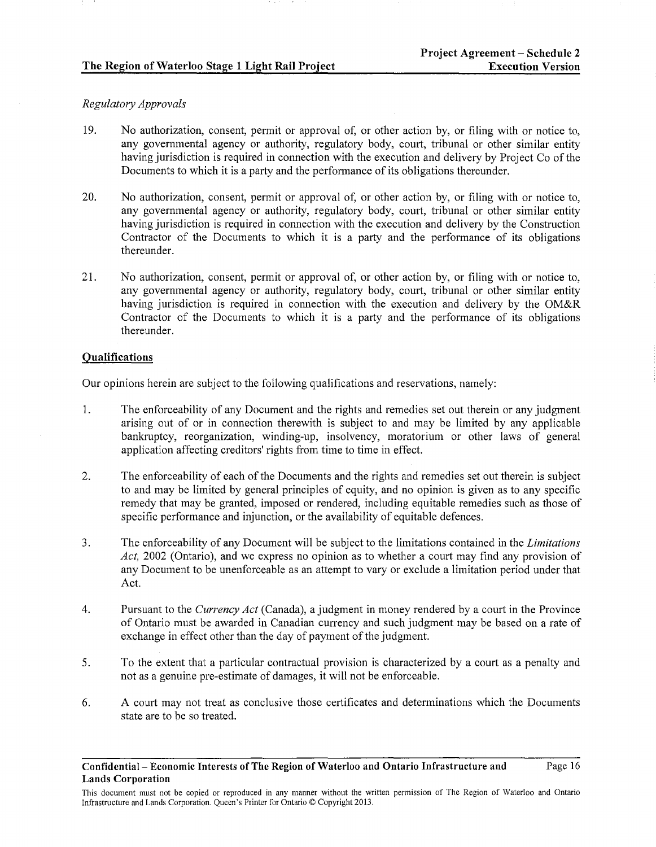# *Regulatory Approvals*

- 19. No authorization, consent, permit or approval of, or other action by, or filing with or notice to, any governmental agency or authority, regulatory body, court, tribunal or other similar entity having jurisdiction is required in connection with the execution and delivery by Project Co of the Documents to which it is a party and the performance of its obligations thereunder.
- 20. No authorization, consent, permit or approval of, or other action by, or filing with or notice to, any governmental agency or authority, regulatory body, court, tribunal or other similar entity having jurisdiction is required in connection with the execution and delivery by the Construction Contractor of the Documents to which it is a party and the performance of its obligations thereunder.
- 21. No authorization, consent, permit or approval of, or other action by, or filing with or notice to, any governmental agency or authority, regulatory body, court, tribunal or other similar entity having jurisdiction is required in connection with the execution and delivery by the OM&R Contractor of the Documents to which it is a party and the performance of its obligations thereunder.

# Qualifications

Our opinions herein are subject to the following qualifications and reservations, namely:

- 1. The enforceability of any Document and the rights and remedies set out therein or any judgment arising out of or in connection therewith is subject to and may be limited by any applicable bankruptcy, reorganization, winding-up, insolvency, moratorium or other laws of general application affecting creditors' rights from time to time in effect.
- 2. The enforceability of each of the Documents and the rights and remedies set out therein is subject to and may be limited by general principles of equity, and no opinion is given as to any specific remedy that may be granted, imposed or rendered, including equitable remedies such as those of specific performance and injunction, or the availability of equitable defences.
- 3. The enforceability of any Document will be subject to the limitations contained in the *Limitations Act,* 2002 (Ontario), and we express no opinion as to whether a court may find any provision of any Document to be unenforceable as an attempt to vary or exclude a limitation period under that Act.
- 4. Pursuant to the *Currency Act* (Canada), a judgment in money rendered by a court in the Province of Ontario must be awarded in Canadian currency and such judgment may be based on a rate of exchange in effect other than the day of payment of the judgment.
- 5. To the extent that a particular contractual provision is characterized by a court as a penalty and not as a genuine pre-estimate of damages, it will not be enforceable.
- 6. A court may not treat as conclusive those certificates and determinations which the Documents state are to be so treated.

This document must not be copied or reproduced in any manner without the written permission of The Region of Waterloo and Ontario Infrastructure and Lands Corporation. Queen's Printer for Ontario© Copyright 2013.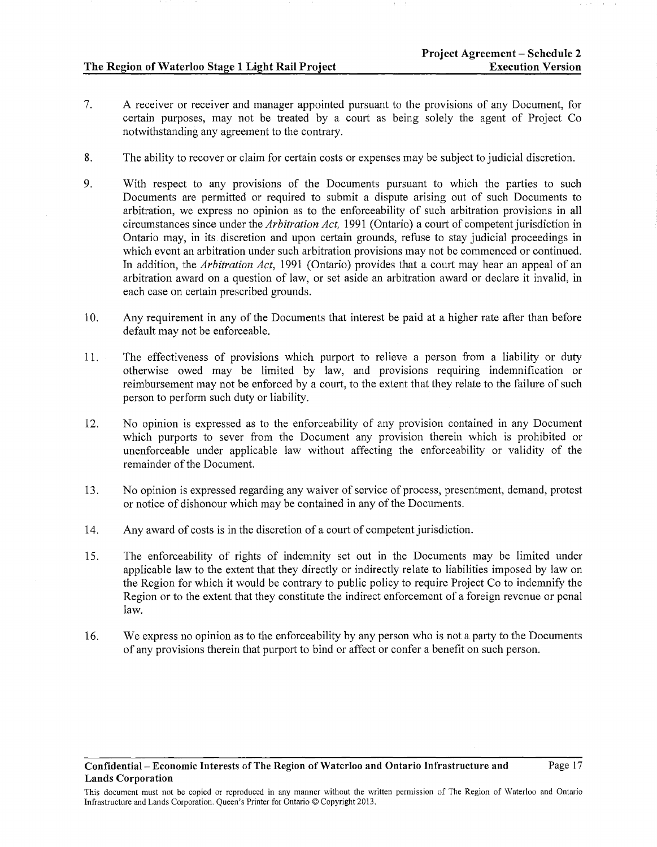- 7. A receiver or receiver and manager appointed pursuant to the provisions of any Document, for certain purposes, may not be treated by a court as being solely the agent of Project Co notwithstanding any agreement to the contrary.
- 8. The ability to recover or claim for certain costs or expenses may be subject to judicial discretion.
- 9. With respect to any provisions of the Documents pursuant to which the parties to such Documents are permitted or required to submit a dispute arising out of such Documents to arbitration, we express no opinion as to the enforceability of such arbitration provisions in all circumstances since under the *Arbitration Act,* 1991 (Ontario) a court of competent jurisdiction in Ontario may, in its discretion and upon certain grounds, refuse to stay judicial proceedings in which event an arbitration under such arbitration provisions may not be commenced or continued. In addition, the *Arbitration Act,* 1991 (Ontario) provides that a court may hear an appeal of an arbitration award on a question of law, or set aside an arbitration award or declare it invalid, in each case on certain prescribed grounds.
- 10. Any requirement in any of the Documents that interest be paid at a higher rate after than before default may not be enforceable.
- 11. The effectiveness of provisions which purport to relieve a person from a liability or duty otherwise owed may be limited by law, and provisions requiring indemnification or reimbursement may not be enforced by a court, to the extent that they relate to the failure of such person to perform such duty or liability.
- 12. No opinion is expressed as to the enforceability of any provision contained in any Document which purports to sever from the Document any provision therein which is prohibited or unenforceable under applicable law without affecting the enforceability or validity of the remainder of the Document.
- 13. No opinion is expressed regarding any waiver of service of process, presentment, demand, protest or notice of dishonour which may be contained in any of the Documents.
- 14. Any award of costs is in the discretion of a court of competent jurisdiction.
- 15. The enforceability of rights of indemnity set out in the Documents may be limited under applicable law to the extent that they directly or indirectly relate to liabilities imposed by law on the Region for which it would be contrary to public policy to require Project Co to indemnify the Region or to the extent that they constitute the indirect enforcement of a foreign revenue or penal law.
- 16. We express no opinion as to the enforceability by any person who is not a party to the Documents of any provisions therein that purport to bind or affect or confer a benefit on such person.

This document must not be copied or reproduced in any manner without the written permission of The Region of Waterloo and Ontario Infrastructure and Lands Corporation. Queen's Printer for Ontario ©Copyright 2013.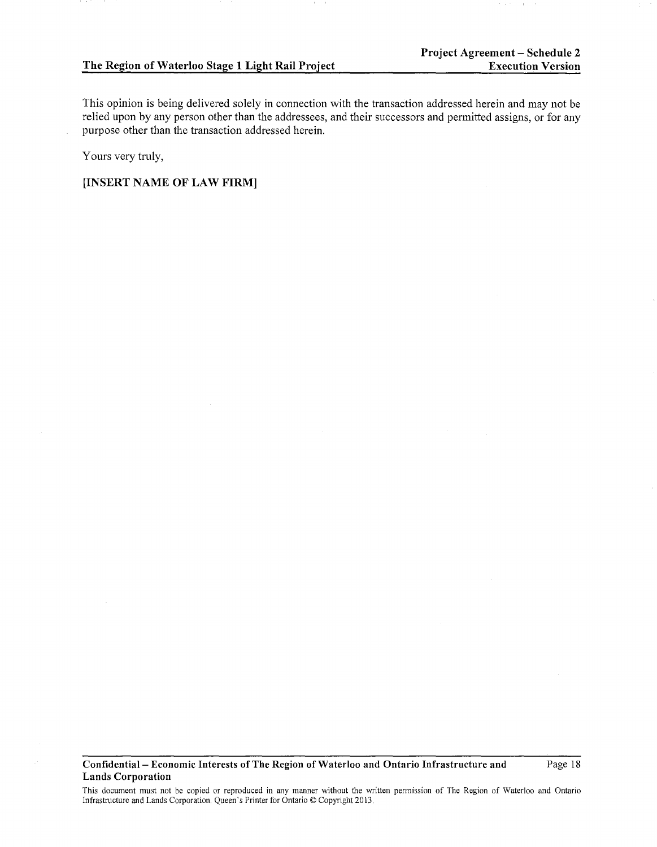This opinion is being delivered solely in connection with the transaction addressed herein and may not be relied upon by any person other than the addressees, and their successors and permitted assigns, or for any purpose other than the transaction addressed herein.

Yours very truly,

[INSERT NAME OF LAW FIRM]

Confidential- Economic Interests of The Region of Waterloo and Ontario Infrastructure and Lands Corporation

Page 18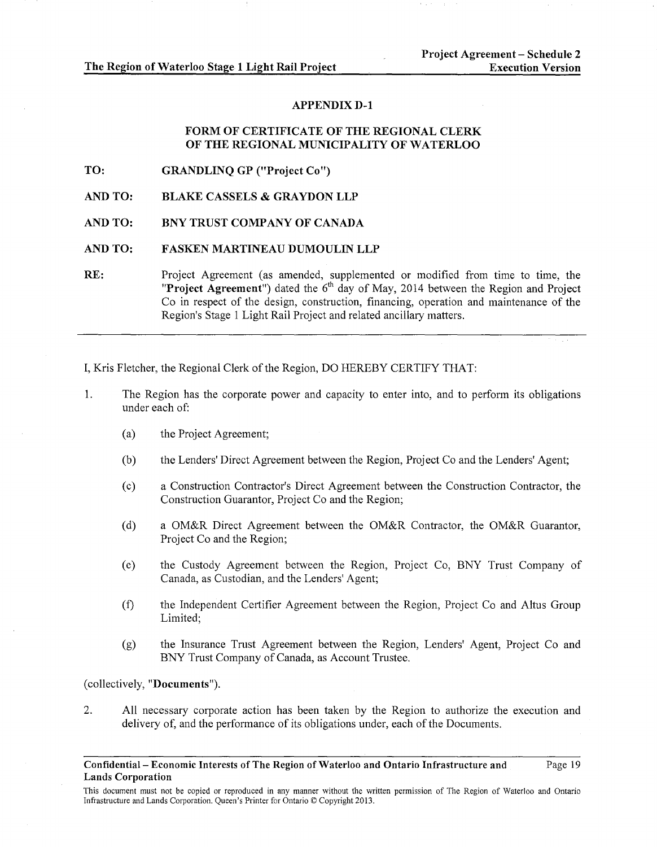# **APPENDIX D-1**

# **FORM OF CERTIFICATE OF THE REGIONAL CLERK OF THE REGIONAL MUNICIPALITY OF WATERLOO**

**TO: GRANDLINQ GP ("Project Co")** 

**AND TO: BLAKE CASSELS & GRAYDON LLP** 

**AND TO: BNY TRUST COMPANY OF CANADA** 

#### **AND TO: FASKEN MARTINEAU DUMOULIN LLP**

**RE:** Project Agreement (as amended, supplemented or modified from time to time, the "**Project Agreement**") dated the 6<sup>th</sup> day of May, 2014 between the Region and Project Co in respect of the design, construction, financing, operation and maintenance of the Region's Stage 1 Light Rail Project and related ancillary matters.

I, Kris Fletcher, the Regional Clerk of the Region, DO HEREBY CERTIFY THAT:

- 1. The Region has the corporate power and capacity to enter into, and to perform its obligations under each of:
	- (a) the Project Agreement;
	- (b) the Lenders' Direct Agreement between the Region, Project Co and the Lenders' Agent;
	- (c) a Construction Contractor's Direct Agreement between the Construction Contractor, the Construction Guarantor, Project Co and the Region;
	- (d) a OM&R Direct Agreement between the OM&R Contractor, the OM&R Guarantor, Project Co and the Region;
	- (e) the Custody Agreement between the Region, Project Co, BNY Trust Company of Canada, as Custodian, and the Lenders' Agent;
	- (f) the Independent Certifier Agreement between the Region, Project Co and Altus Group Limited;
	- (g) the Insurance Trust Agreement between the Region, Lenders' Agent, Project Co and BNY Trust Company of Canada, as Account Trustee.

(collectively, **"Documents").** 

2. All necessary corporate action has been taken by the Region to authorize the execution and delivery of, and the performance of its obligations under, each of the Documents.

This document must not be copied or reproduced in any manner without the written permission of The Region of Waterloo and Ontario Infrastructure and Lands Corporation. Queen's Printer for Ontario© Copyright 2013.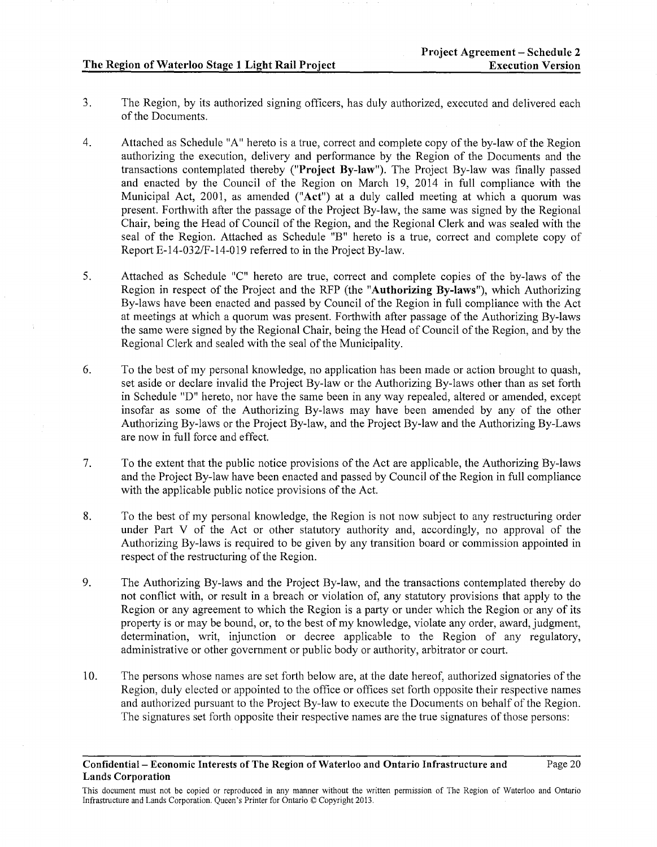- 3. The Region, by its authorized signing officers, has duly authorized, executed and delivered each of the Documents.
- 4. Attached as Schedule "A" hereto is a true, correct and complete copy of the by-law of the Region authorizing the execution, delivery and performance by the Region of the Documents and the transactions contemplated thereby ("Project By-law"). The Project By-law was finally passed and enacted by the Council of the Region on March 19, 2014 in full compliance with the Municipal Act, 2001, as amended ("Act") at a duly called meeting at which a quorum was present. Forthwith after the passage of the Project By-law, the same was signed by the Regional Chair, being the Head of Council of the Region, and the Regional Clerk and was sealed with the seal of the Region. Attached as Schedule "B" hereto is a true, correct and complete copy of Report E-14-032/F-14-019 referred to in the Project By-law.
- 5. Attached as Schedule "C" hereto are true, correct and complete copies of the by-laws of the Region in respect of the Project and the RFP (the "Authorizing By-laws"), which Authorizing By-laws have been enacted and passed by Council of the Region in full compliance with the Act at meetings at which a quorum was present. Forthwith after passage of the Authorizing By-laws the same were signed by the Regional Chair, being the Head of Council of the Region, and by the Regional Clerk and sealed with the seal of the Municipality.
- 6. To the best of my personal knowledge, no application has been made or action brought to quash, set aside or declare invalid the Project By-law or the Authorizing By-laws other than as set forth in Schedule "D" hereto, nor have the same been in any way repealed, altered or amended, except insofar as some of the Authorizing By-laws may have been amended by any of the other Authorizing By-laws or the Project By-law, and the Project By-law and the Authorizing By-Laws are now in full force and effect.
- 7. To the extent that the public notice provisions of the Act are applicable, the Authorizing By-laws and the Project By-law have been enacted and passed by Council of the Region in full compliance with the applicable public notice provisions of the Act.
- 8. To the best of my personal knowledge, the Region is not now subject to any restructuring order under Part V of the Act or other statutory authority and, accordingly, no approval of the Authorizing By-laws is required to be given by any transition board or commission appointed in respect of the restructuring of the Region.
- 9. The Authorizing By-laws and the Project By-law, and the transactions contemplated thereby do not conflict with, or result in a breach or violation of, any statutory provisions that apply to the Region or any agreement to which the Region is a party or under which the Region or any of its property is or may be bound, or, to the best of my knowledge, violate any order, award, judgment, determination, writ, injunction or decree applicable to the Region of any regulatory, administrative or other government or public body or authority, arbitrator or court.
- 10. The persons whose names are set forth below are, at the date hereof, authorized signatories of the Region, duly elected or appointed to the office or offices set forth opposite their respective names and authorized pursuant to the Project By-law to execute the Documents on behalf of the Region. The signatures set forth opposite their respective names are the true signatures of those persons:

Confidential- Economic Interests of The Region of Waterloo and Ontario Infrastructure and Lands Corporation

This document must not be copied or reproduced in any manner without the written permission of The Region of Waterloo and Ontario Infrastructure and Lands Corporation. Queen's Printer for Ontario© Copyright 2013.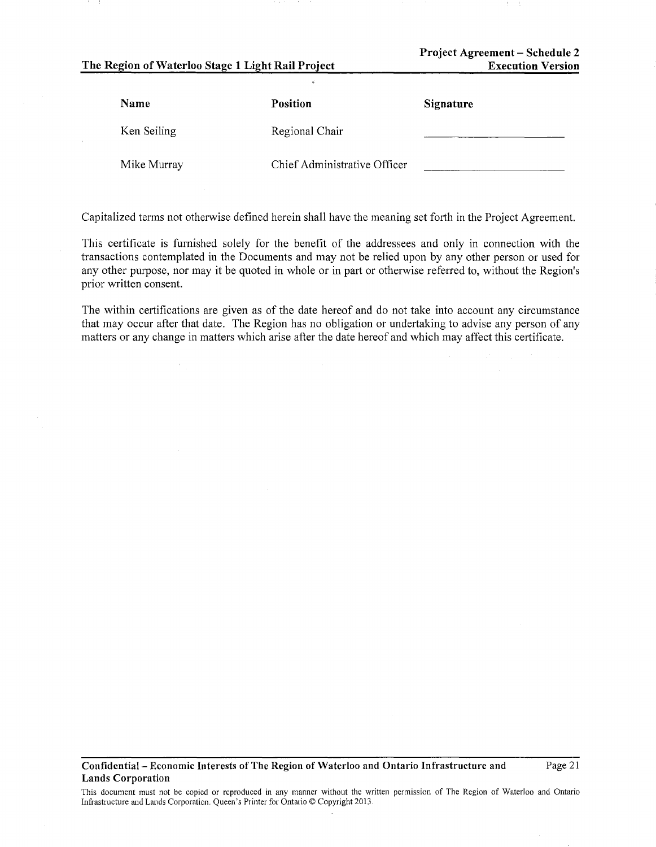Project Agreement- Schedule 2 Execution Version

| Name        | Position                     | Signature |
|-------------|------------------------------|-----------|
| Ken Seiling | Regional Chair               |           |
| Mike Murray | Chief Administrative Officer |           |

Capitalized terms not otherwise defined herein shall have the meaning set forth in the Project Agreement.

This certificate is furnished solely for the benefit of the addressees and only in connection with the transactions contemplated in the Documents and may not be relied upon by any other person or used for any other purpose, nor may it be quoted in whole or in part or otherwise referred to, without the Region's prior written consent.

The within certifications are given as of the date hereof and do not take into account any circumstance that may occur after that date. The Region has no obligation or undertaking to advise any person of any matters or any change in matters which arise after the date hereof and which may affect this certificate.

#### Confidential- Economic Interests of The Region of Waterloo and Ontario Infrastructure and Lands Corporation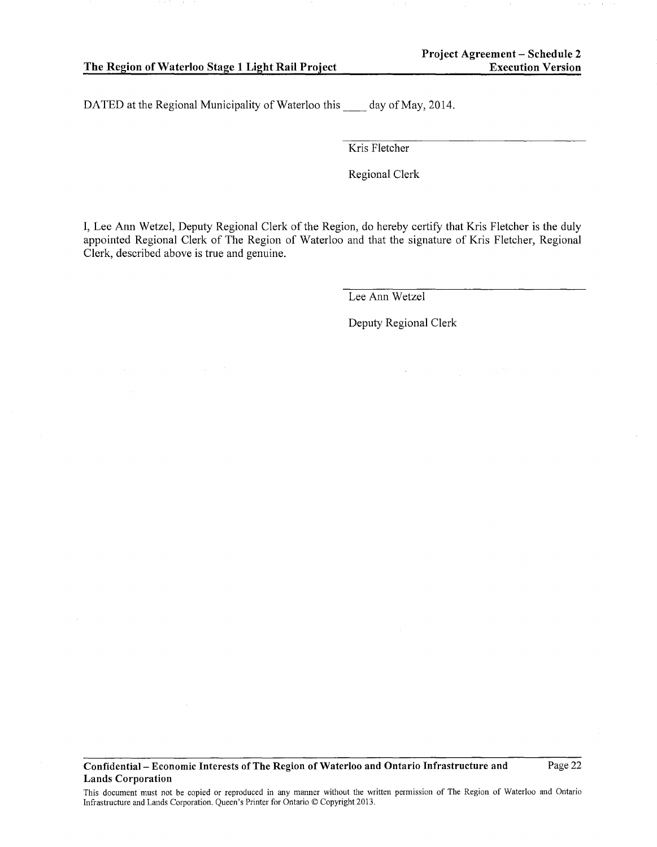DATED at the Regional Municipality of Waterloo this day of May, 2014.

Kris Fletcher

Regional Clerk

I, Lee Ann Wetzel, Deputy Regional Clerk of the Region, do hereby certify that Kris Fletcher is the duly appointed Regional Clerk of The Region of Waterloo and that the signature of Kris Fletcher, Regional Clerk, described above is true and genuine.

Lee Ann Wetzel

Deputy Regional Clerk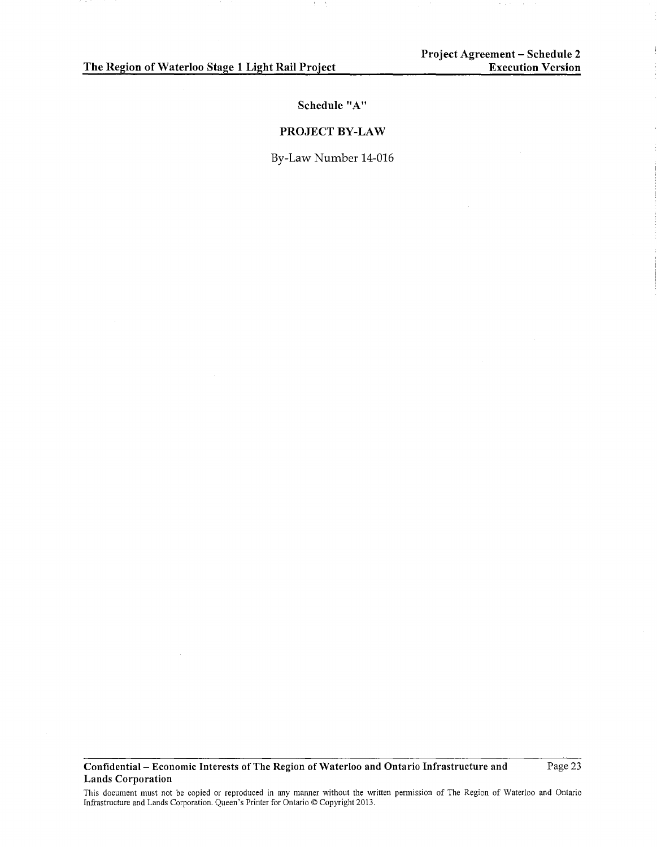**Schedule "A"** 

## **PROJECT BY-LAW**

By-Law Number 14-016

**Confidential- Economic Interests of The Region of Waterloo and Ontario Infrastructure and Lands Corporation** 

Page 23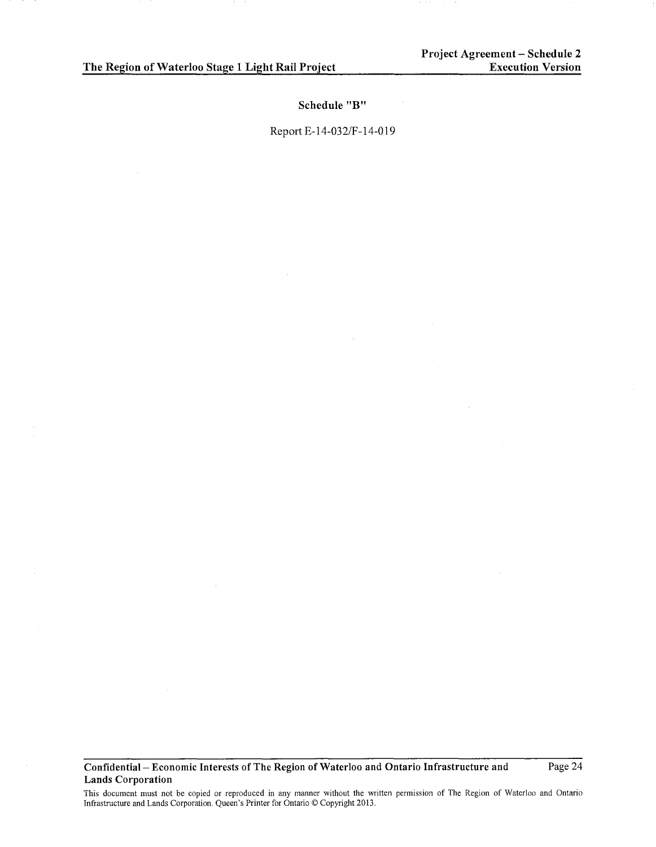**Schedule "B"** 

Report E-14-032/F -14-019

**Confidential- Economic Interests of The Region of Waterloo and Ontario Infrastructure and Lands Corporation**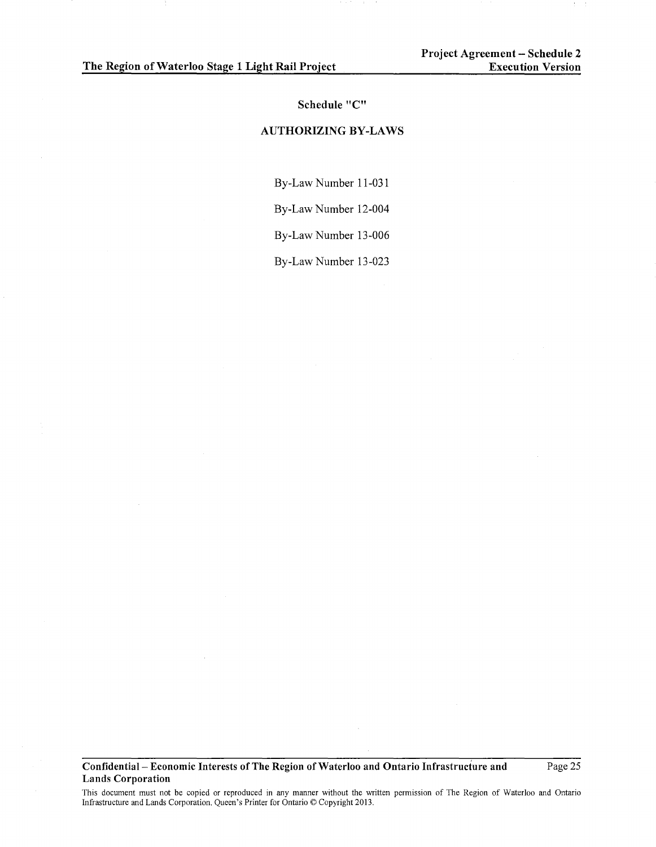#### **Schedule "C"**

# **AUTHORIZING BY-LAWS**

By-LawNumber 11-031

By-Law Number 12-004

By-Law Number 13-006

By-LawNumber 13-023

**Confidential- Economic Interests of The Region of Waterloo and Ontario Infrastructure and Lands Corporation** 

Page 25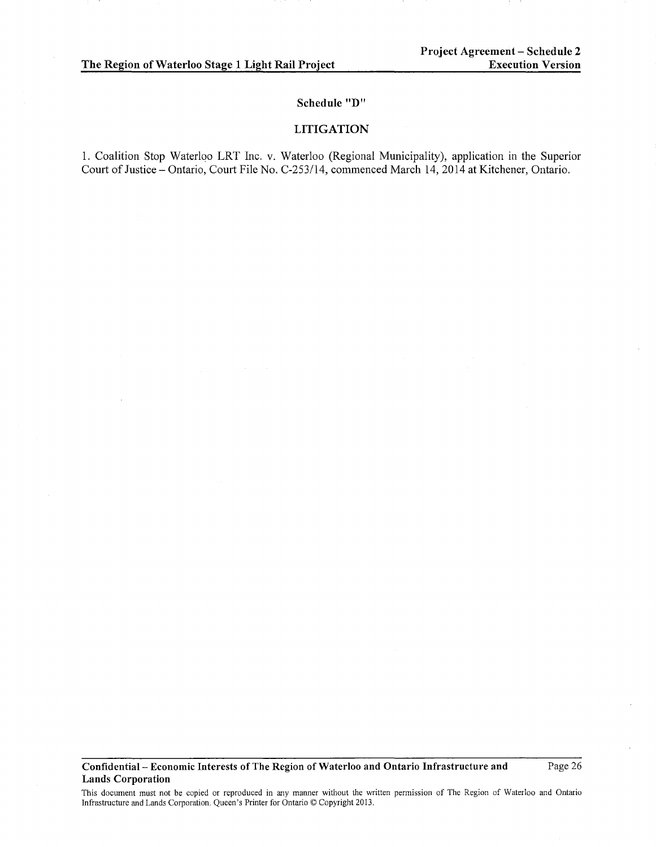# **Schedule "D"**

## **LITIGATION**

1. Coalition Stop Waterloo LRT Inc. v. Waterloo (Regional Municipality), application in the Superior Court of Justice- Ontario, Court File No. C-253114, commenced March 14, 2014 at Kitchener, Ontario.

**Confidential- Economic Interests of The Region of Waterloo and Ontario Infrastructure and Lands Corporation** 

Page 26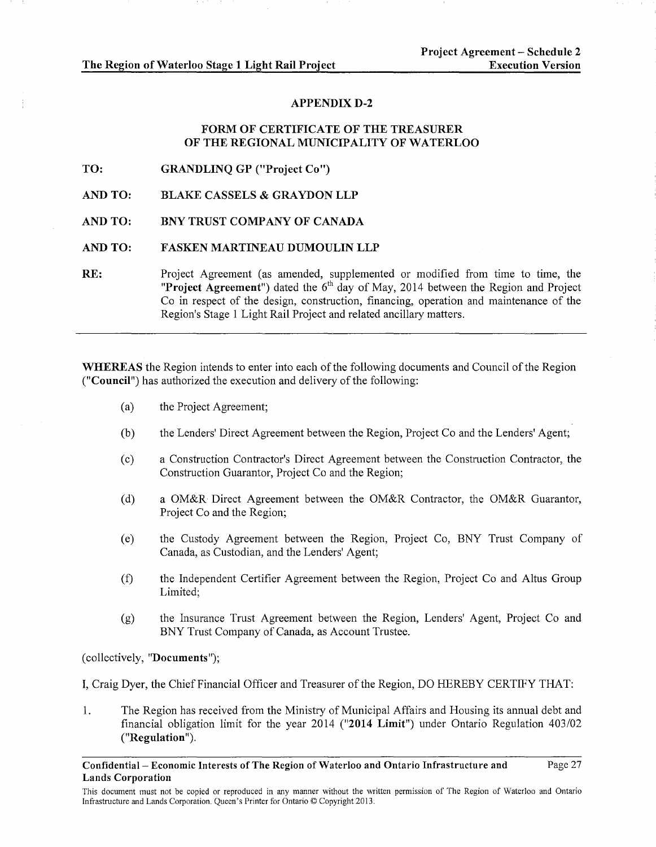Page 27

# APPENDIX D-2

# FORM OF CERTIFICATE OF THE TREASURER OF THE REGIONAL MUNICIPALITY OF WATERLOO

TO: GRANDLINQ GP ("Project Co")

AND TO: BLAKE CASSELS & GRAYDON LLP

AND TO: BNY TRUST COMPANY OF CANADA

## AND TO: FASKEN MARTINEAU DUMOULIN LLP

RE: Project Agreement (as amended, supplemented or modified from time to time, the "Project Agreement") dated the  $6<sup>th</sup>$  day of May, 2014 between the Region and Project Co in respect of the design, construction, financing, operation and maintenance of the Region's Stage 1 Light Rail Project and related ancillary matters.

WHEREAS the Region intends to enter into each of the following documents and Council of the Region ("Council") has authorized the execution and delivery of the following:

- (a) the Project Agreement;
- (b) the Lenders' Direct Agreement between the Region, Project Co and the Lenders' Agent;
- (c) a Construction Contractor's Direct Agreement between the Construction Contractor, the Construction Guarantor, Project Co and the Region;
- (d) a OM&R Direct Agreement between the OM&R Contractor, the OM&R Guarantor, Project Co and the Region;
- (e) the Custody Agreement between the Region, Project Co, BNY Trust Company of Canada, as Custodian, and the Lenders' Agent;
- (f) the Independent Certifier Agreement between the Region, Project Co and Altus Group Limited;
- (g) the Insurance Trust Agreement between the Region, Lenders' Agent, Project Co and BNY Trust Company of Canada, as Account Trustee.

(collectively, "Documents");

I, Craig Dyer, the ChiefFinancial Officer and Treasurer of the Region, DO HEREBY CERTIFY THAT:

1. The Region has received from the Ministry of Municipal Affairs and Housing its annual debt and financial obligation limit for the year 2014 ("2014 Limit") under Ontario Regulation 403/02 ("Regulation").

Confidential- Economic Interests of The Region of Waterloo and Ontario Infrastructure and Lands Corporation

This document must not be copied or reproduced in any manner without the written permission of The Region of Waterloo and Ontario Infrastructure and Lands Corporation. Queen's Printer for Ontario© Copyright 2013.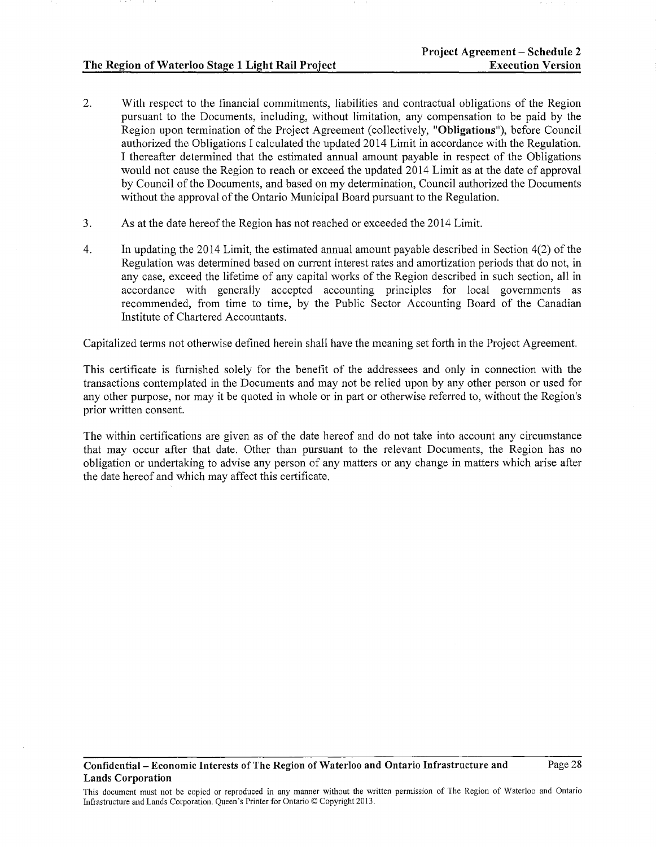- 2. With respect to the financial commitments, liabilities and contractual obligations of the Region pursuant to the Documents, including, without limitation, any compensation to be paid by the Region upon termination of the Project Agreement (collectively, "Obligations"), before Council authorized the Obligations I calculated the updated 2014 Limit in accordance with the Regulation. I thereafter determined that the estimated annual amount payable in respect of the Obligations would not cause the Region to reach or exceed the updated 2014 Limit as at the date of approval by Council of the Documents, and based on my determination, Council authorized the Documents without the approval of the Ontario Municipal Board pursuant to the Regulation.
- 3. As at the date hereof the Region has not reached or exceeded the 2014 Limit.
- 4. In updating the 2014 Limit, the estimated annual amount payable described in Section 4(2) of the Regulation was determined based on current interest rates and amortization periods that do not, in any case, exceed the lifetime of any capital works of the Region described in such section, all in accordance with generally accepted accounting principles for local governments as recommended, from time to time, by the Public Sector Accounting Board of the Canadian Institute of Chartered Accountants.

Capitalized terms not otherwise defined herein shall have the meaning set forth in the Project Agreement.

This certificate is furnished solely for the benefit of the addressees and only in connection with the transactions contemplated in the Documents and may not be relied upon by any other person or used for any other purpose, nor may it be quoted in whole or in part or otherwise referred to, without the Region's prior written consent.

The within certifications are given as of the date hereof and do not take into account any circumstance that may occur after that date. Other than pursuant to the relevant Documents, the Region has no obligation or undertaking to advise any person of any matters or any change in matters which arise after the date hereof and which may affect this certificate.